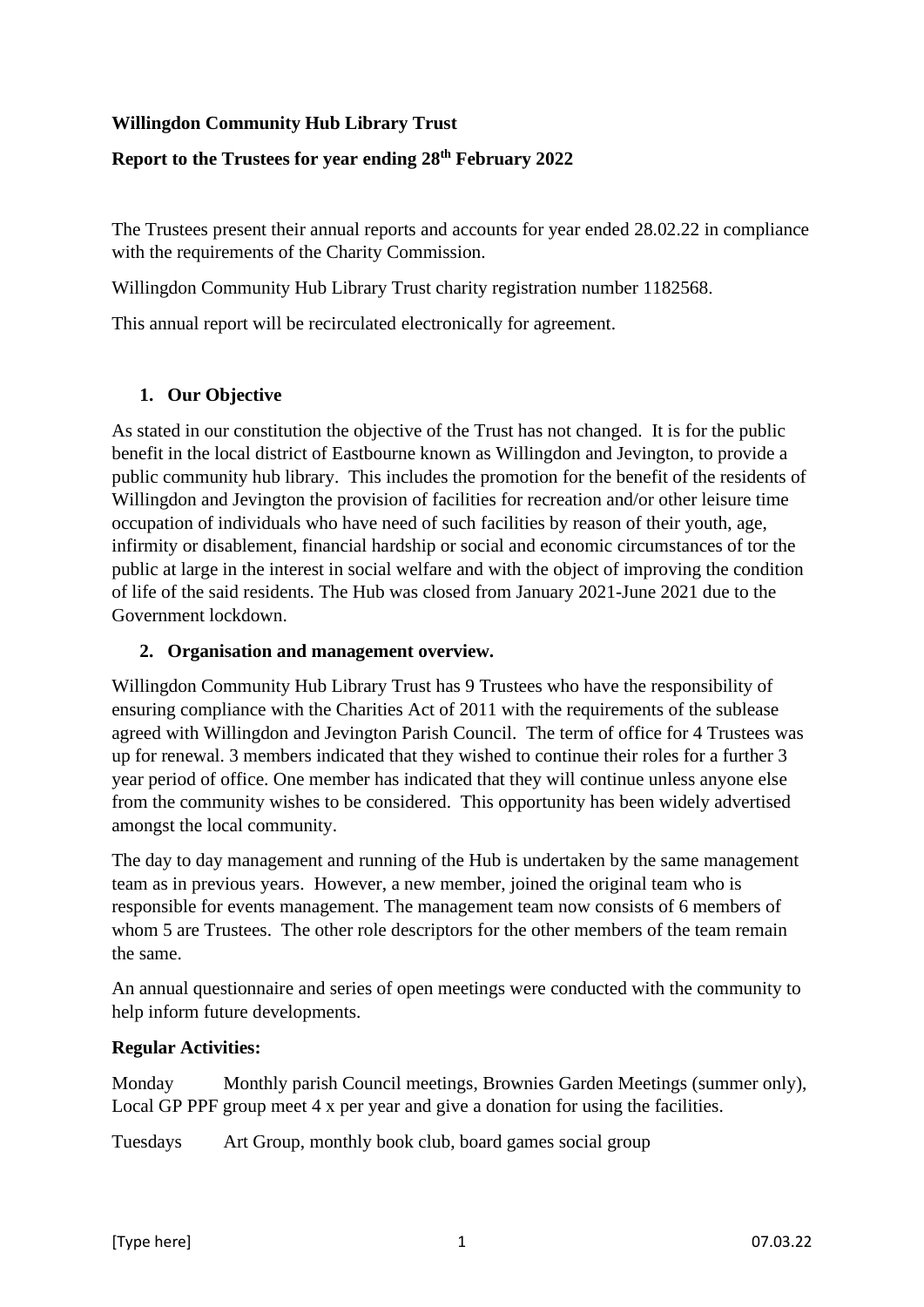## **Willingdon Community Hub Library Trust**

### **Report to the Trustees for year ending 28th February 2022**

The Trustees present their annual reports and accounts for year ended 28.02.22 in compliance with the requirements of the Charity Commission.

Willingdon Community Hub Library Trust charity registration number 1182568.

This annual report will be recirculated electronically for agreement.

### **1. Our Objective**

As stated in our constitution the objective of the Trust has not changed. It is for the public benefit in the local district of Eastbourne known as Willingdon and Jevington, to provide a public community hub library. This includes the promotion for the benefit of the residents of Willingdon and Jevington the provision of facilities for recreation and/or other leisure time occupation of individuals who have need of such facilities by reason of their youth, age, infirmity or disablement, financial hardship or social and economic circumstances of tor the public at large in the interest in social welfare and with the object of improving the condition of life of the said residents. The Hub was closed from January 2021-June 2021 due to the Government lockdown.

#### **2. Organisation and management overview.**

Willingdon Community Hub Library Trust has 9 Trustees who have the responsibility of ensuring compliance with the Charities Act of 2011 with the requirements of the sublease agreed with Willingdon and Jevington Parish Council. The term of office for 4 Trustees was up for renewal. 3 members indicated that they wished to continue their roles for a further 3 year period of office. One member has indicated that they will continue unless anyone else from the community wishes to be considered. This opportunity has been widely advertised amongst the local community.

The day to day management and running of the Hub is undertaken by the same management team as in previous years. However, a new member, joined the original team who is responsible for events management. The management team now consists of 6 members of whom 5 are Trustees. The other role descriptors for the other members of the team remain the same.

An annual questionnaire and series of open meetings were conducted with the community to help inform future developments.

### **Regular Activities:**

Monday Monthly parish Council meetings, Brownies Garden Meetings (summer only), Local GP PPF group meet 4 x per year and give a donation for using the facilities.

Tuesdays Art Group, monthly book club, board games social group